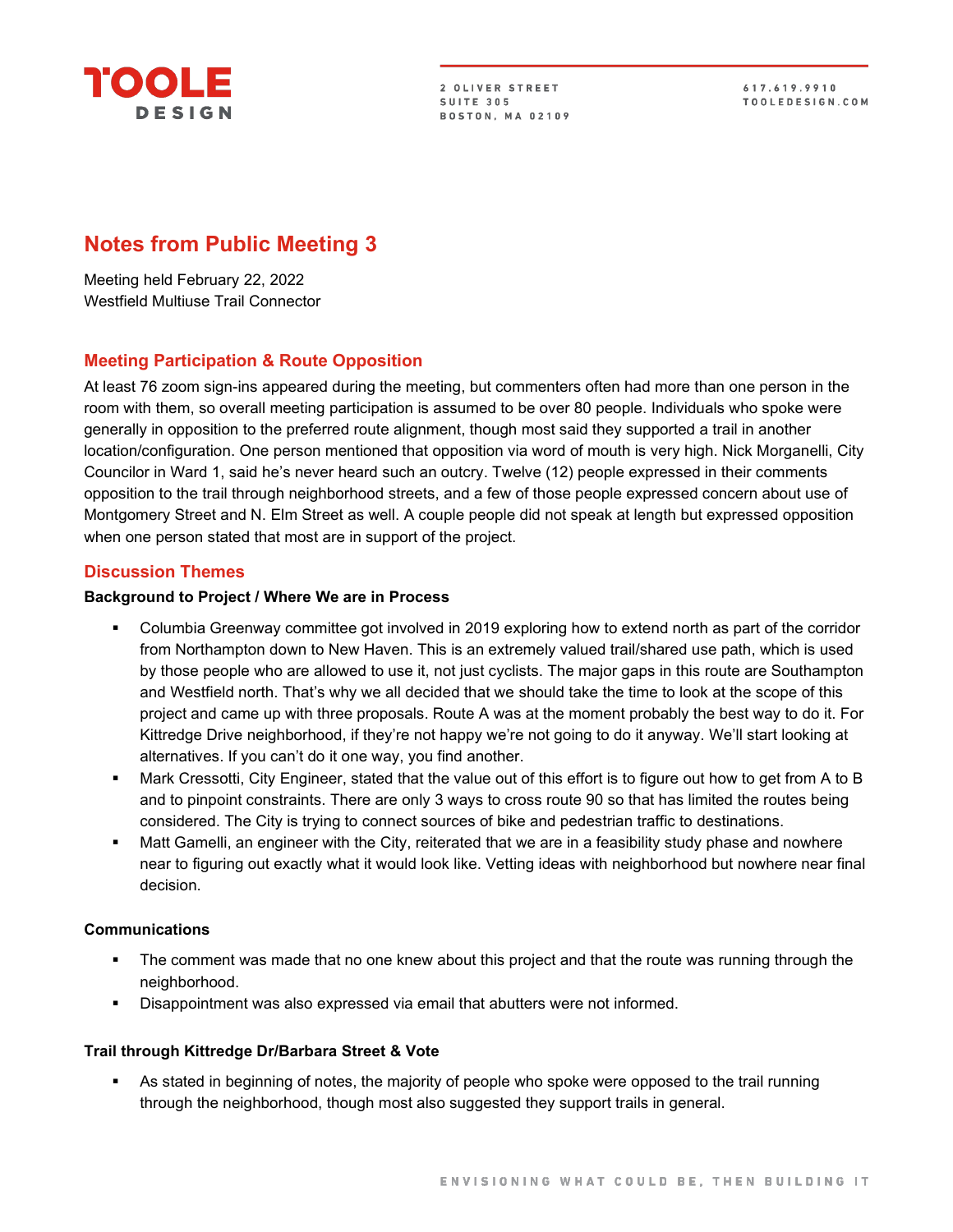

2 OLIVER STREET SUITE 305 **BOSTON, MA 02109** 

617.619.9910 TOOLEDESIGN.COM

# **Notes from Public Meeting 3**

Meeting held February 22, 2022 Westfield Multiuse Trail Connector

# **Meeting Participation & Route Opposition**

At least 76 zoom sign-ins appeared during the meeting, but commenters often had more than one person in the room with them, so overall meeting participation is assumed to be over 80 people. Individuals who spoke were generally in opposition to the preferred route alignment, though most said they supported a trail in another location/configuration. One person mentioned that opposition via word of mouth is very high. Nick Morganelli, City Councilor in Ward 1, said he's never heard such an outcry. Twelve (12) people expressed in their comments opposition to the trail through neighborhood streets, and a few of those people expressed concern about use of Montgomery Street and N. Elm Street as well. A couple people did not speak at length but expressed opposition when one person stated that most are in support of the project.

# **Discussion Themes**

#### **Background to Project / Where We are in Process**

- Columbia Greenway committee got involved in 2019 exploring how to extend north as part of the corridor from Northampton down to New Haven. This is an extremely valued trail/shared use path, which is used by those people who are allowed to use it, not just cyclists. The major gaps in this route are Southampton and Westfield north. That's why we all decided that we should take the time to look at the scope of this project and came up with three proposals. Route A was at the moment probably the best way to do it. For Kittredge Drive neighborhood, if they're not happy we're not going to do it anyway. We'll start looking at alternatives. If you can't do it one way, you find another.
- Mark Cressotti, City Engineer, stated that the value out of this effort is to figure out how to get from A to B and to pinpoint constraints. There are only 3 ways to cross route 90 so that has limited the routes being considered. The City is trying to connect sources of bike and pedestrian traffic to destinations.
- Matt Gamelli, an engineer with the City, reiterated that we are in a feasibility study phase and nowhere near to figuring out exactly what it would look like. Vetting ideas with neighborhood but nowhere near final decision.

#### **Communications**

- The comment was made that no one knew about this project and that the route was running through the neighborhood.
- Disappointment was also expressed via email that abutters were not informed.

# **Trail through Kittredge Dr/Barbara Street & Vote**

 As stated in beginning of notes, the majority of people who spoke were opposed to the trail running through the neighborhood, though most also suggested they support trails in general.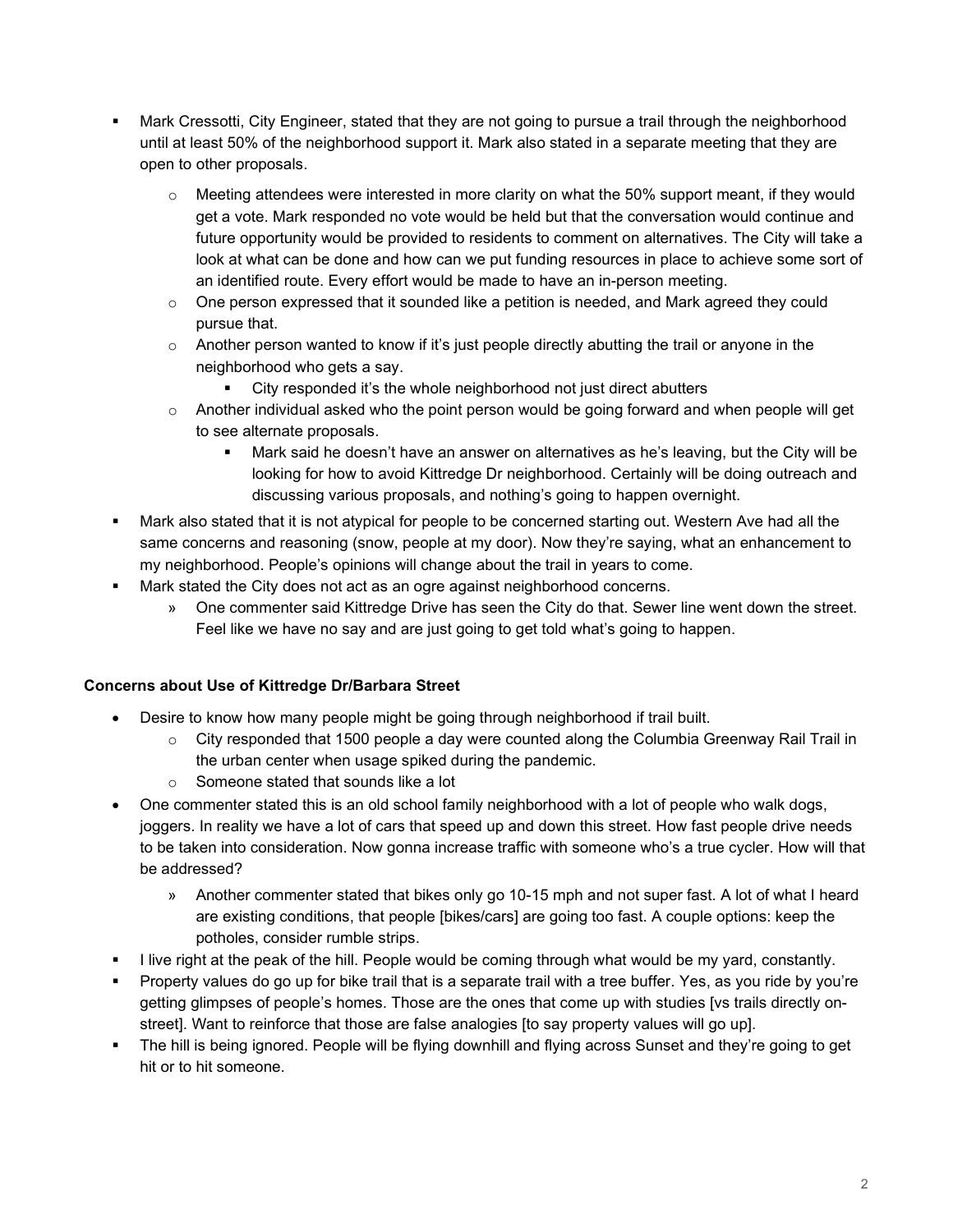- Mark Cressotti, City Engineer, stated that they are not going to pursue a trail through the neighborhood until at least 50% of the neighborhood support it. Mark also stated in a separate meeting that they are open to other proposals.
	- $\circ$  Meeting attendees were interested in more clarity on what the 50% support meant, if they would get a vote. Mark responded no vote would be held but that the conversation would continue and future opportunity would be provided to residents to comment on alternatives. The City will take a look at what can be done and how can we put funding resources in place to achieve some sort of an identified route. Every effort would be made to have an in-person meeting.
	- $\circ$  One person expressed that it sounded like a petition is needed, and Mark agreed they could pursue that.
	- $\circ$  Another person wanted to know if it's just people directly abutting the trail or anyone in the neighborhood who gets a say.
		- City responded it's the whole neighborhood not just direct abutters
	- $\circ$  Another individual asked who the point person would be going forward and when people will get to see alternate proposals.
		- Mark said he doesn't have an answer on alternatives as he's leaving, but the City will be looking for how to avoid Kittredge Dr neighborhood. Certainly will be doing outreach and discussing various proposals, and nothing's going to happen overnight.
- Mark also stated that it is not atypical for people to be concerned starting out. Western Ave had all the same concerns and reasoning (snow, people at my door). Now they're saying, what an enhancement to my neighborhood. People's opinions will change about the trail in years to come.
- Mark stated the City does not act as an ogre against neighborhood concerns.
	- » One commenter said Kittredge Drive has seen the City do that. Sewer line went down the street. Feel like we have no say and are just going to get told what's going to happen.

# **Concerns about Use of Kittredge Dr/Barbara Street**

- Desire to know how many people might be going through neighborhood if trail built.
	- $\circ$  City responded that 1500 people a day were counted along the Columbia Greenway Rail Trail in the urban center when usage spiked during the pandemic.
	- o Someone stated that sounds like a lot
- One commenter stated this is an old school family neighborhood with a lot of people who walk dogs, joggers. In reality we have a lot of cars that speed up and down this street. How fast people drive needs to be taken into consideration. Now gonna increase traffic with someone who's a true cycler. How will that be addressed?
	- » Another commenter stated that bikes only go 10-15 mph and not super fast. A lot of what I heard are existing conditions, that people [bikes/cars] are going too fast. A couple options: keep the potholes, consider rumble strips.
- I live right at the peak of the hill. People would be coming through what would be my yard, constantly.
- Property values do go up for bike trail that is a separate trail with a tree buffer. Yes, as you ride by you're getting glimpses of people's homes. Those are the ones that come up with studies [vs trails directly onstreet]. Want to reinforce that those are false analogies [to say property values will go up].
- The hill is being ignored. People will be flying downhill and flying across Sunset and they're going to get hit or to hit someone.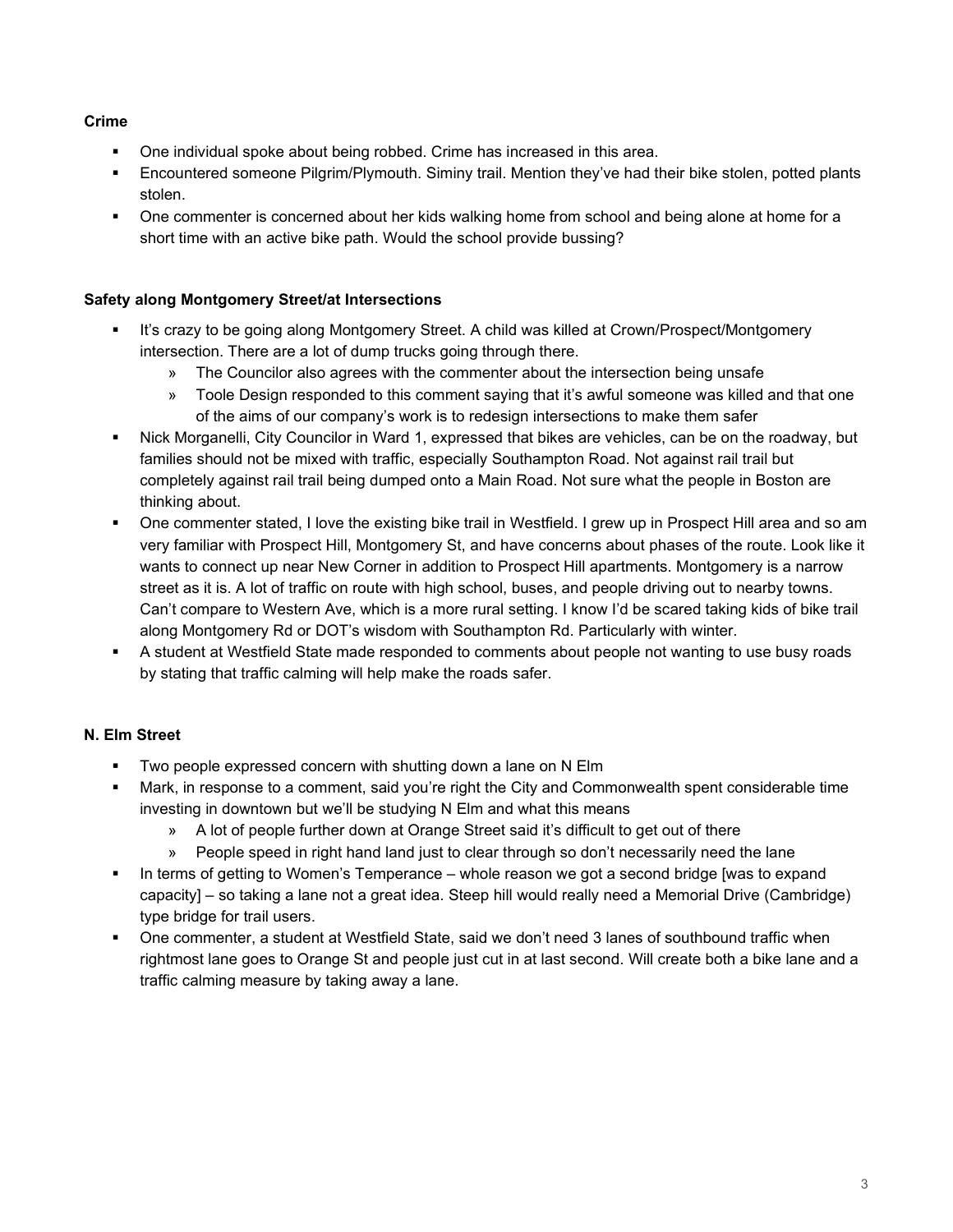# **Crime**

- One individual spoke about being robbed. Crime has increased in this area.
- Encountered someone Pilgrim/Plymouth. Siminy trail. Mention they've had their bike stolen, potted plants stolen.
- One commenter is concerned about her kids walking home from school and being alone at home for a short time with an active bike path. Would the school provide bussing?

# **Safety along Montgomery Street/at Intersections**

- It's crazy to be going along Montgomery Street. A child was killed at Crown/Prospect/Montgomery intersection. There are a lot of dump trucks going through there.
	- » The Councilor also agrees with the commenter about the intersection being unsafe
	- » Toole Design responded to this comment saying that it's awful someone was killed and that one of the aims of our company's work is to redesign intersections to make them safer
- Nick Morganelli, City Councilor in Ward 1, expressed that bikes are vehicles, can be on the roadway, but families should not be mixed with traffic, especially Southampton Road. Not against rail trail but completely against rail trail being dumped onto a Main Road. Not sure what the people in Boston are thinking about.
- One commenter stated, I love the existing bike trail in Westfield. I grew up in Prospect Hill area and so am very familiar with Prospect Hill, Montgomery St, and have concerns about phases of the route. Look like it wants to connect up near New Corner in addition to Prospect Hill apartments. Montgomery is a narrow street as it is. A lot of traffic on route with high school, buses, and people driving out to nearby towns. Can't compare to Western Ave, which is a more rural setting. I know I'd be scared taking kids of bike trail along Montgomery Rd or DOT's wisdom with Southampton Rd. Particularly with winter.
- A student at Westfield State made responded to comments about people not wanting to use busy roads by stating that traffic calming will help make the roads safer.

# **N. Elm Street**

- Two people expressed concern with shutting down a lane on N Elm
- Mark, in response to a comment, said you're right the City and Commonwealth spent considerable time investing in downtown but we'll be studying N Elm and what this means
	- » A lot of people further down at Orange Street said it's difficult to get out of there
	- » People speed in right hand land just to clear through so don't necessarily need the lane
- In terms of getting to Women's Temperance whole reason we got a second bridge [was to expand capacity] – so taking a lane not a great idea. Steep hill would really need a Memorial Drive (Cambridge) type bridge for trail users.
- One commenter, a student at Westfield State, said we don't need 3 lanes of southbound traffic when rightmost lane goes to Orange St and people just cut in at last second. Will create both a bike lane and a traffic calming measure by taking away a lane.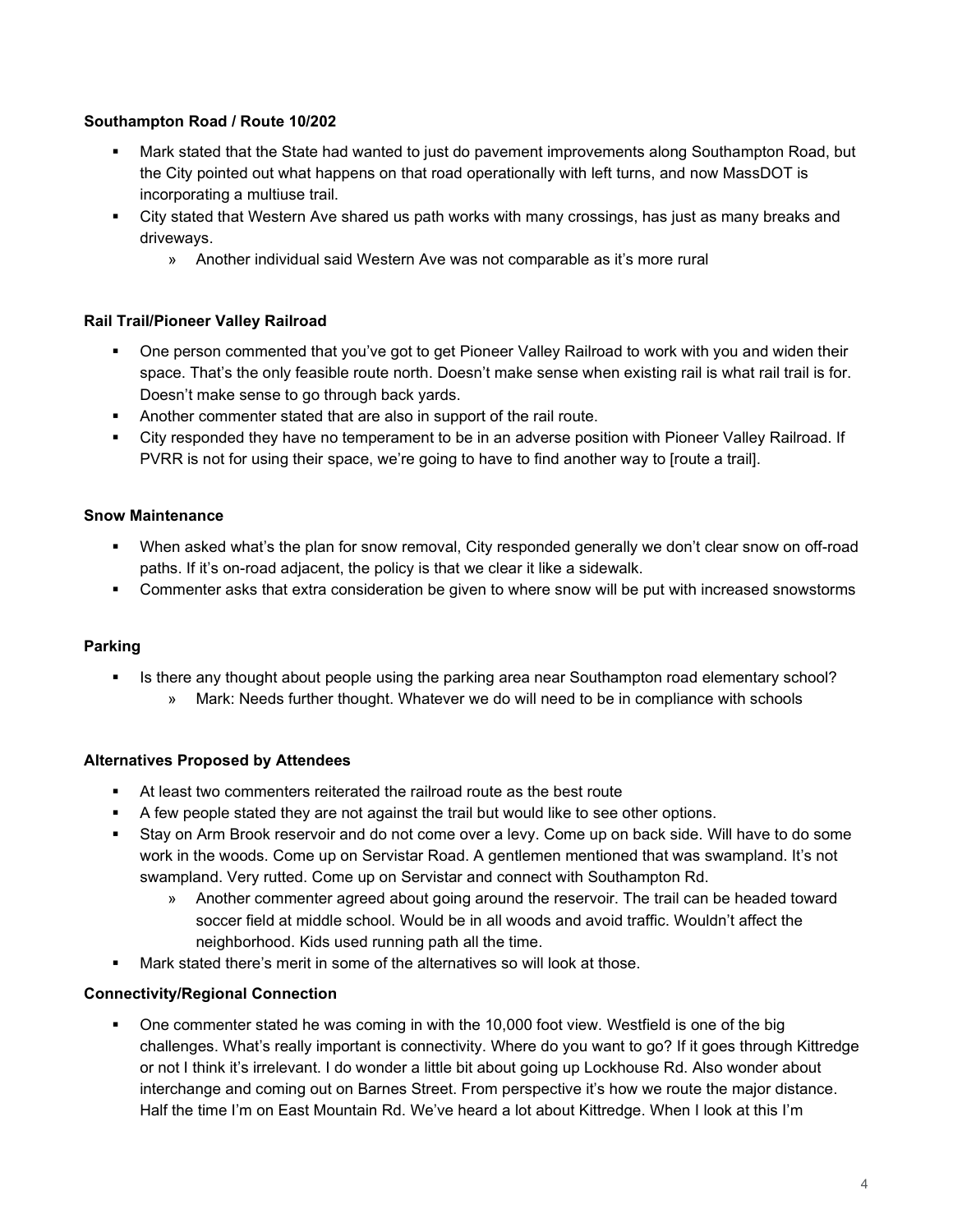# **Southampton Road / Route 10/202**

- Mark stated that the State had wanted to just do pavement improvements along Southampton Road, but the City pointed out what happens on that road operationally with left turns, and now MassDOT is incorporating a multiuse trail.
- City stated that Western Ave shared us path works with many crossings, has just as many breaks and driveways.
	- » Another individual said Western Ave was not comparable as it's more rural

# **Rail Trail/Pioneer Valley Railroad**

- One person commented that you've got to get Pioneer Valley Railroad to work with you and widen their space. That's the only feasible route north. Doesn't make sense when existing rail is what rail trail is for. Doesn't make sense to go through back yards.
- Another commenter stated that are also in support of the rail route.
- City responded they have no temperament to be in an adverse position with Pioneer Valley Railroad. If PVRR is not for using their space, we're going to have to find another way to [route a trail].

# **Snow Maintenance**

- When asked what's the plan for snow removal, City responded generally we don't clear snow on off-road paths. If it's on-road adjacent, the policy is that we clear it like a sidewalk.
- Commenter asks that extra consideration be given to where snow will be put with increased snowstorms

# **Parking**

- Is there any thought about people using the parking area near Southampton road elementary school?
	- » Mark: Needs further thought. Whatever we do will need to be in compliance with schools

# **Alternatives Proposed by Attendees**

- At least two commenters reiterated the railroad route as the best route
- A few people stated they are not against the trail but would like to see other options.
- Stay on Arm Brook reservoir and do not come over a levy. Come up on back side. Will have to do some work in the woods. Come up on Servistar Road. A gentlemen mentioned that was swampland. It's not swampland. Very rutted. Come up on Servistar and connect with Southampton Rd.
	- » Another commenter agreed about going around the reservoir. The trail can be headed toward soccer field at middle school. Would be in all woods and avoid traffic. Wouldn't affect the neighborhood. Kids used running path all the time.
- Mark stated there's merit in some of the alternatives so will look at those.

# **Connectivity/Regional Connection**

 One commenter stated he was coming in with the 10,000 foot view. Westfield is one of the big challenges. What's really important is connectivity. Where do you want to go? If it goes through Kittredge or not I think it's irrelevant. I do wonder a little bit about going up Lockhouse Rd. Also wonder about interchange and coming out on Barnes Street. From perspective it's how we route the major distance. Half the time I'm on East Mountain Rd. We've heard a lot about Kittredge. When I look at this I'm